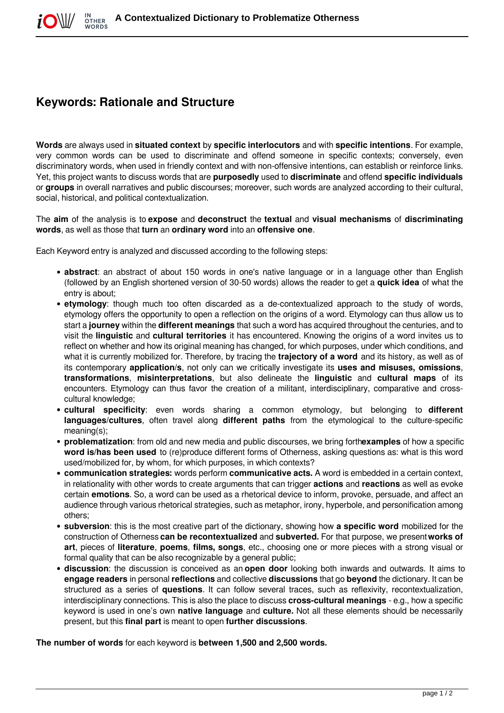## **Keywords: Rationale and Structure**

**Words** are always used in **situated context** by **specific interlocutors** and with **specific intentions**. For example, very common words can be used to discriminate and offend someone in specific contexts; conversely, even discriminatory words, when used in friendly context and with non-offensive intentions, can establish or reinforce links. Yet, this project wants to discuss words that are **purposedly** used to **discriminate** and offend **specific individuals** or **groups** in overall narratives and public discourses; moreover, such words are analyzed according to their cultural, social, historical, and political contextualization.

The **aim** of the analysis is to **expose** and **deconstruct** the **textual** and **visual mechanisms** of **discriminating words**, as well as those that **turn** an **ordinary word** into an **offensive one**.

Each Keyword entry is analyzed and discussed according to the following steps:

- **abstract**: an abstract of about 150 words in one's native language or in a language other than English (followed by an English shortened version of 30-50 words) allows the reader to get a **quick idea** of what the entry is about;
- **etymology**: though much too often discarded as a de-contextualized approach to the study of words, etymology offers the opportunity to open a reflection on the origins of a word. Etymology can thus allow us to start a **journey** within the **different meanings** that such a word has acquired throughout the centuries, and to visit the **linguistic** and **cultural territories** it has encountered. Knowing the origins of a word invites us to reflect on whether and how its original meaning has changed, for which purposes, under which conditions, and what it is currently mobilized for. Therefore, by tracing the **trajectory of a word** and its history, as well as of its contemporary **application/s**, not only can we critically investigate its **uses and misuses, omissions**, **transformations**, **misinterpretations**, but also delineate the **linguistic** and **cultural maps** of its encounters. Etymology can thus favor the creation of a militant, interdisciplinary, comparative and crosscultural knowledge;
- **cultural specificity**: even words sharing a common etymology, but belonging to **different languages/cultures**, often travel along **different paths** from the etymological to the culture-specific meaning(s);
- **problematization**: from old and new media and public discourses, we bring forth**examples** of how a specific **word is/has been used** to (re)produce different forms of Otherness, asking questions as: what is this word used/mobilized for, by whom, for which purposes, in which contexts?
- **communication strategies:** words perform **communicative acts.** A word is embedded in a certain context, in relationality with other words to create arguments that can trigger **actions** and **reactions** as well as evoke certain **emotions**. So, a word can be used as a rhetorical device to inform, provoke, persuade, and affect an audience through various rhetorical strategies, such as metaphor, irony, hyperbole, and personification among others;
- **subversion**: this is the most creative part of the dictionary, showing how **a specific word** mobilized for the construction of Otherness **can be recontextualized** and **subverted.** For that purpose, we present**works of art**, pieces of **literature**, **poems**, **films, songs**, etc., choosing one or more pieces with a strong visual or formal quality that can be also recognizable by a general public;
- **discussion**: the discussion is conceived as an **open door** looking both inwards and outwards. It aims to **engage readers** in personal **reflections** and collective **discussions** that go **beyond** the dictionary. It can be structured as a series of **questions**. It can follow several traces, such as reflexivity, recontextualization, interdisciplinary connections. This is also the place to discuss **cross-cultural meanings** - e.g., how a specific keyword is used in one's own **native language** and **culture.** Not all these elements should be necessarily present, but this **final part** is meant to open **further discussions**.

**The number of words** for each keyword is **between 1,500 and 2,500 words.**